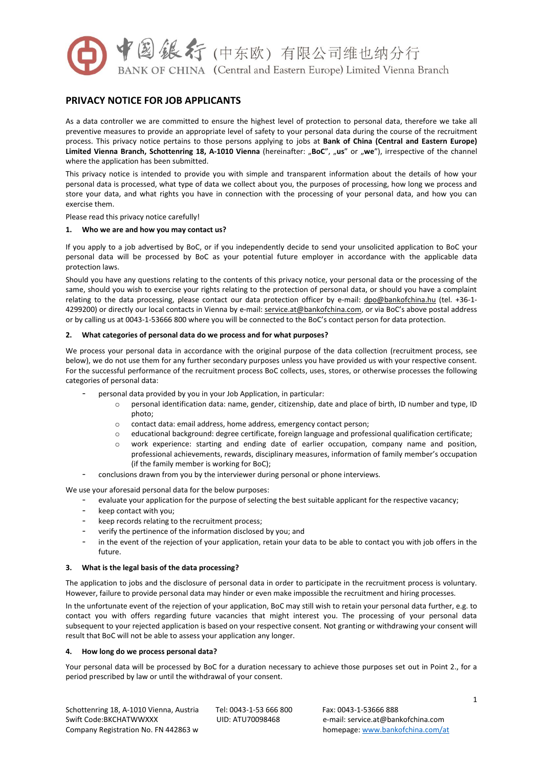

# **PRIVACY NOTICE FOR JOB APPLICANTS**

As a data controller we are committed to ensure the highest level of protection to personal data, therefore we take all preventive measures to provide an appropriate level of safety to your personal data during the course of the recruitment process. This privacy notice pertains to those persons applying to jobs at **Bank of China (Central and Eastern Europe) Limited Vienna Branch, Schottenring 18, A-1010 Vienna** (hereinafter: "**BoC**", "**us**" or "**we**"), irrespective of the channel where the application has been submitted.

This privacy notice is intended to provide you with simple and transparent information about the details of how your personal data is processed, what type of data we collect about you, the purposes of processing, how long we process and store your data, and what rights you have in connection with the processing of your personal data, and how you can exercise them.

Please read this privacy notice carefully!

### **1. Who we are and how you may contact us?**

If you apply to a job advertised by BoC, or if you independently decide to send your unsolicited application to BoC your personal data will be processed by BoC as your potential future employer in accordance with the applicable data protection laws.

Should you have any questions relating to the contents of this privacy notice, your personal data or the processing of the same, should you wish to exercise your rights relating to the protection of personal data, or should you have a complaint relating to the data processing, please contact our data protection officer by e-mail: [dpo@bankofchina.hu](mailto:dpo@bankofchina.hu) (tel. +36-1- 4299200) or directly our local contacts in Vienna by e-mail: service.at@bankofchina.com, or via BoC's above postal address or by calling us at 0043-1-53666 800 where you will be connected to the BoC's contact person for data protection.

# **2. What categories of personal data do we process and for what purposes?**

We process your personal data in accordance with the original purpose of the data collection (recruitment process, see below), we do not use them for any further secondary purposes unless you have provided us with your respective consent. For the successful performance of the recruitment process BoC collects, uses, stores, or otherwise processes the following categories of personal data:

- personal data provided by you in your Job Application, in particular:
	- o personal identification data: name, gender, citizenship, date and place of birth, ID number and type, ID photo;
	- o contact data: email address, home address, emergency contact person;
	- educational background: degree certificate, foreign language and professional qualification certificate;
	- work experience: starting and ending date of earlier occupation, company name and position, professional achievements, rewards, disciplinary measures, information of family member's occupation (if the family member is working for BoC);
- conclusions drawn from you by the interviewer during personal or phone interviews.

We use your aforesaid personal data for the below purposes:

- evaluate your application for the purpose of selecting the best suitable applicant for the respective vacancy;
- keep contact with you;
- keep records relating to the recruitment process;
- verify the pertinence of the information disclosed by you; and
- in the event of the rejection of your application, retain your data to be able to contact you with job offers in the future.

#### **3. What is the legal basis of the data processing?**

The application to jobs and the disclosure of personal data in order to participate in the recruitment process is voluntary. However, failure to provide personal data may hinder or even make impossible the recruitment and hiring processes.

In the unfortunate event of the rejection of your application, BoC may still wish to retain your personal data further, e.g. to contact you with offers regarding future vacancies that might interest you. The processing of your personal data subsequent to your rejected application is based on your respective consent. Not granting or withdrawing your consent will result that BoC will not be able to assess your application any longer.

### **4. How long do we process personal data?**

Your personal data will be processed by BoC for a duration necessary to achieve those purposes set out in Point 2., for a period prescribed by law or until the withdrawal of your consent.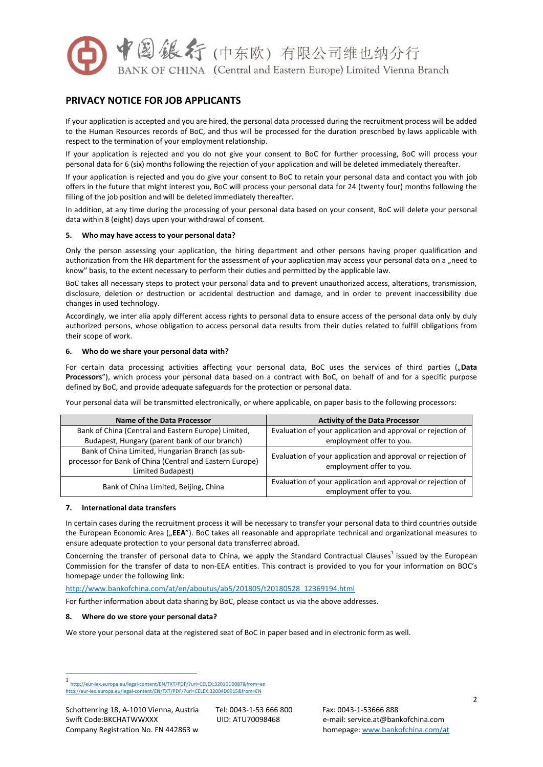

# **PRIVACY NOTICE FOR JOB APPLICANTS**

If your application is accepted and you are hired, the personal data processed during the recruitment process will be added to the Human Resources records of BoC, and thus will be processed for the duration prescribed by laws applicable with respect to the termination of your employment relationship.

If your application is rejected and you do not give your consent to BoC for further processing, BoC will process your personal data for 6 (six) months following the rejection of your application and will be deleted immediately thereafter.

If your application is rejected and you do give your consent to BoC to retain your personal data and contact you with job offers in the future that might interest you, BoC will process your personal data for 24 (twenty four) months following the filling of the job position and will be deleted immediately thereafter.

In addition, at any time during the processing of your personal data based on your consent, BoC will delete your personal data within 8 (eight) days upon your withdrawal of consent.

# **5. Who may have access to your personal data?**

Only the person assessing your application, the hiring department and other persons having proper qualification and authorization from the HR department for the assessment of your application may access your personal data on a "need to know" basis, to the extent necessary to perform their duties and permitted by the applicable law.

BoC takes all necessary steps to protect your personal data and to prevent unauthorized access, alterations, transmission, disclosure, deletion or destruction or accidental destruction and damage, and in order to prevent inaccessibility due changes in used technology.

Accordingly, we inter alia apply different access rights to personal data to ensure access of the personal data only by duly authorized persons, whose obligation to access personal data results from their duties related to fulfill obligations from their scope of work.

### **6. Who do we share your personal data with?**

For certain data processing activities affecting your personal data, BoC uses the services of third parties ("Data **Processors**"), which process your personal data based on a contract with BoC, on behalf of and for a specific purpose defined by BoC, and provide adequate safeguards for the protection or personal data.

Your personal data will be transmitted electronically, or where applicable, on paper basis to the following processors:

| Name of the Data Processor                                                                                                        | <b>Activity of the Data Processor</b>                                                   |
|-----------------------------------------------------------------------------------------------------------------------------------|-----------------------------------------------------------------------------------------|
| Bank of China (Central and Eastern Europe) Limited,                                                                               | Evaluation of your application and approval or rejection of                             |
| Budapest, Hungary (parent bank of our branch)                                                                                     | employment offer to you.                                                                |
| Bank of China Limited, Hungarian Branch (as sub-<br>processor for Bank of China (Central and Eastern Europe)<br>Limited Budapest) | Evaluation of your application and approval or rejection of<br>employment offer to you. |
| Bank of China Limited, Beijing, China                                                                                             | Evaluation of your application and approval or rejection of<br>employment offer to you. |

# **7. International data transfers**

In certain cases during the recruitment process it will be necessary to transfer your personal data to third countries outside the European Economic Area ("**EEA**"). BoC takes all reasonable and appropriate technical and organizational measures to ensure adequate protection to your personal data transferred abroad.

Concerning the transfer of personal data to China, we apply the Standard Contractual Clauses<sup>1</sup> issued by the European Commission for the transfer of data to non-EEA entities. This contract is provided to you for your information on BOC's homepage under the following link:

[http://www.bankofchina.com/at/en/aboutus/ab5/201805/t20180528\\_12369194.html](http://www.bankofchina.com/at/en/aboutus/ab5/201805/t20180528_12369194.html)

For further information about data sharing by BoC, please contact us via the above addresses.

# **8. Where do we store your personal data?**

We store your personal data at the registered seat of BoC in paper based and in electronic form as well.

**.** 

<sup>1</sup> <http://eur-lex.europa.eu/legal-content/EN/TXT/PDF/?uri=CELEX:32010D0087&from=en> <http://eur-lex.europa.eu/legal-content/EN/TXT/PDF/?uri=CELEX:32004D0915&from=EN>